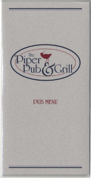

# PUB MENU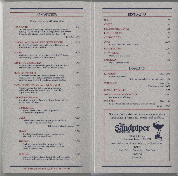### **SANDWICHES**

| All sandwiches served with potato chips                                                                                                                                                              |      |
|------------------------------------------------------------------------------------------------------------------------------------------------------------------------------------------------------|------|
| <b>PUB BURGER</b><br>Our own blend of seasonings, onions & peppers combined<br>with 1/2-pound of lean ground beef, topped with Jack cheese<br>& served with lettuce, onion & pickle on a Kaiser roll | 5.25 |
| With Chili 5.95                                                                                                                                                                                      |      |
| <b>CRACKED PEPPER AND BLUE CHEESE BURGER</b><br>The Dub Burger lightly coated with cracked black pepper<br>& melled blue cheese crumbles                                                             | 5.50 |
| <b><i><u>REUBEN</u></i></b>                                                                                                                                                                          | 5.25 |
| Thinly sliced lean "eye of the round" corned beef, thousand<br>island dressing, sauerkraut & Swiss cheese                                                                                            |      |
| TURKEY OR SMOKED HAM                                                                                                                                                                                 | 4.95 |
| Slices of turkey or smoked ham piled high on a soft French<br>roll with a choice of Swiss, Jack or Cheddar cheese                                                                                    |      |
| <b>MEATLOAF SANDWICH</b>                                                                                                                                                                             | 4.95 |
| A traditional favorite with a ketchup, mustard & honey<br>glaze, open-faced on grilled sourdough, covered with<br>mushroom gravy & served with skin-on mashed potatoes                               |      |
| <b>TORTA DE PESCADA (Mexican Fish Sandwich)</b>                                                                                                                                                      | 6.25 |
| Steamed delicate fish filet served on a warm corn<br>tortilla with lemon cilantro pesto, red cabbage, bell<br>peppers, & tomatoes                                                                    |      |
| CHICKEN SANDWICHES:                                                                                                                                                                                  |      |
| Your choice of style & flavor served on a Kaiser roll with<br>lettuce, tomato & onion                                                                                                                |      |
| <b>CHARBROILED</b>                                                                                                                                                                                   | 4.95 |
| Tender chicken breast broiled to perfection<br>& served with mayonnaise                                                                                                                              |      |
| <b>CAJUN</b>                                                                                                                                                                                         | 5.50 |
| Chicken breast coated with Cajun spices, broiled &<br>served with a side of Creole sauce                                                                                                             |      |
| With bacon & Cheddar cheese                                                                                                                                                                          | 5.95 |
| <b>SESAME</b>                                                                                                                                                                                        | 5.50 |
| Breaded chicken breast coated in sesame seeds<br>with a side of honey mustard sauce                                                                                                                  |      |
| TERIYAKI                                                                                                                                                                                             | 5.50 |
| Chicken breast marinated in teriyaki sauce, broiled<br>& scrved with a pincapple ring, Swiss cheese &<br>a side of teriyaki sauce                                                                    |      |
| <b>SONORA</b>                                                                                                                                                                                        | 5.50 |
| Charbroiled chicken breast basted with barbecue sauce<br>6 topped with roasted green chilis 6 Cheddar cheese                                                                                         |      |

## **BEVERAGES**

| <b>MILK</b>                                       | .85  |
|---------------------------------------------------|------|
| COFFEE                                            | .75  |
| <b>DECAFFEINATED COFFEE</b>                       | .75  |
| <b>HOT or ICED TEA</b>                            | .75  |
| <b>GOURMET TEAS</b>                               | 1.00 |
| <b>JUICE</b><br>Orange, Grapefruit, Tomato, Apple | 1.00 |
| <b>HOT CHOCOLATE</b>                              | 1.00 |
| <b>SOFT DRINKS</b><br>Depsi, Diet Depsi, Slice    | .75  |
| <b>CALISTOGA</b><br>Plain, Lemonade, Berry        | 1.75 |
| <b>DESSERTS</b>                                   |      |

| <b>ICE CREAM</b><br>Chocolate or vanilla                                                | Plain 1.50 |
|-----------------------------------------------------------------------------------------|------------|
| With chopped walnuts & chocolate syrup 1.75                                             |            |
| <b>CHEESECAKE</b><br>With berry topping 3.00                                            | Plain 2.50 |
| <b>PEANUT BUTTER PIE</b>                                                                | 2.75       |
| <b>JEFF'S GERMAN CHOCOLATE PIE</b><br>His mom's wonderful recipe                        | 2.50       |
| <b>PUB CAKE</b><br><b>Plain</b><br>Moist oatmeal cake with an almond & coconut frosting | 195        |
| $\Lambda$ la mode $250$                                                                 |            |

When in Boise, visit our sister restaurant which specializes in prime rib. steaks and seafood.

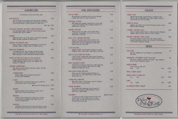## **SANDWICHES**

| All sandwiches served with potato chips                                                                                                                                                              |      |
|------------------------------------------------------------------------------------------------------------------------------------------------------------------------------------------------------|------|
| <b>PUB BURGER</b><br>Our own blend of seasonings, onions & peppers combined<br>with 1/2-pound of lean ground beef, topped with Jack cheese<br>& served with lettuce, onion & pickle on a Kaiser roll | 5.25 |
| With Chili                                                                                                                                                                                           | 5.95 |
| <b>CRACKED PEPPER AND BLUE CHEESE BURGER</b><br>The Dub Burger lightly coated with cracked black pepper<br>& melled blue cheese crumbles                                                             | 5.50 |
| <b>DEUBEN</b>                                                                                                                                                                                        | 5.25 |
| Thinly sliced lean "eye of the round" corned beef, thousand<br>island dressing, sauerkraut & Swiss cheese                                                                                            |      |
| <b>TURKEY OR SMOKED HAM</b><br>Slices of turkey or smoked ham piled high on a soft french<br>roll with a choice of Swiss, Jack or Cheddar cheese                                                     | 4.95 |
| <b>MEATLOAF SANDWICH</b>                                                                                                                                                                             | 4.95 |
| A traditional favorite with a ketchup, mustard 6 honey<br>glaze, open-faced on grilled sourdough, covered with<br>mushroom gravy & served with skin-on mashed potatoes                               |      |
| <b>TORTA DE PESCADA (Mexican Fish Sandwich)</b>                                                                                                                                                      | 6.25 |
| Steamed delicate fish filet served on a warm corn<br>tortilla with lemon cilantro pesto, red cabbage, bell<br>peppers, & tomatoes                                                                    |      |
| CHICKEN SANDWICHES:                                                                                                                                                                                  |      |
| Your choice of style & flavor served on a Kaiser roll with<br>lettuce, tomato & onion                                                                                                                |      |
| <b>CHARBROILED</b>                                                                                                                                                                                   | 4.95 |
| Tender chicken breast broiled to perfection<br>& served with mayonnaise                                                                                                                              |      |
| <b>CAJUN</b>                                                                                                                                                                                         | 5.50 |
| Chicken breast coated with Cajun spices, broiled &<br>served with a side of Creole sauce                                                                                                             |      |
| With bacon & Cheddar cheese                                                                                                                                                                          | 5.95 |
| <b>SESAME</b><br>Breaded chicken breast coated in sesane seeds<br>with a side of honey mustard sauce                                                                                                 | 5.50 |
| TERIYAKI<br>Chicken breast marinated in teriyaki sauce, broiled<br>& scrved with a pincapple ring. Swiss cheese &<br>a side of teriyaki sauce                                                        | 5.50 |
| <b>SONORA</b><br>Charbroiled chicken breast basted with barbecue sauce<br>& topped with roasted green chilis & Cheddar cheese                                                                        | 5.50 |

## **PUB SPECIALTIES**

| <b>SH &amp; CHIDS</b><br>Beer-battered cod golden fried & served with malt                                                                                                             | 5.25         |
|----------------------------------------------------------------------------------------------------------------------------------------------------------------------------------------|--------------|
| vinegar, tartar sauce & crispy French fries                                                                                                                                            |              |
| INGERS & MASH                                                                                                                                                                          | 5.95         |
| Mild English style sausages charbroiled & served with<br>a spicy sweet mustard, skin-on mashed potatoes & a<br>small salad or Pub slaw                                                 |              |
| <b>IRMP STIR-TRY</b>                                                                                                                                                                   | 6.25         |
| Shrimp stir-fried in sesame oil 6 teriyaki with an<br>assortment of vegetables, served over rice with a<br>small salad or Dub slaw                                                     |              |
| <b>ING PAO CHICKEN STIR-FRY</b>                                                                                                                                                        | 5.95         |
| Spicy hot Szechwan-style stir-fried chicken with<br>peanuls, pea pods, red peppers & green onions.<br>served over rice with a small salad or Dub slaw.<br>Order extra hot if you dare! |              |
| <b>LAM EINGUINE</b>                                                                                                                                                                    | 6.25         |
| Linguine noodles covered with sea clams in a creamy<br>Parmesan sauce, served with a small salad or Pub slaw                                                                           |              |
| ROCCOLI & PINE NUT PASTA                                                                                                                                                               | 6.25         |
| Crisp broccoli, roasted pine nuts & grated Parmesan<br>cheese served over fresh carrot fettucine tossed in olive<br>oil & Iresh garlie                                                 |              |
| <b>M'S JALAPENO PASTA</b>                                                                                                                                                              | 6.25         |
| Fresh tomato & Jalapeno pasta tossed with mushrooms.<br>peppers, onions, tomatoes, black olives & tequila,<br>topped with Darmesan cheese                                              |              |
| IAI BASIL PORK STIR-FRY                                                                                                                                                                | 5.95         |
| Strips of pork tenderloin sauteed with white &<br>green onion, in a spicy Thai basil & pepper sauce,<br>served over rice                                                               |              |
| LUBHOUSE OMELETTE                                                                                                                                                                      | 5.50         |
| Ham, turkey, bacon, diced tomato, Swiss & Cheddar<br>cheese in a three-egg omelette                                                                                                    |              |
| <b>IDER BROWNS</b>                                                                                                                                                                     | 5.25         |
| Our country-style hashbrowns, sliced bangers &<br>steamed broccoli laced with hollandaise, served<br>with toast or English muffin                                                      |              |
| <b>EAMERS</b>                                                                                                                                                                          | Market Price |
| A pound and a half of clams steamed in white wine.<br>herbs & spices, diced tomatoes, green onions,<br>garlic. lemon, served with rosemary pesto bread<br>& small salad or Dub slaw    |              |
|                                                                                                                                                                                        |              |

| <b>SALADS</b>                                                                                                                                                                                    |      |
|--------------------------------------------------------------------------------------------------------------------------------------------------------------------------------------------------|------|
| <b>PIPER CHEF</b><br>Julicane ham & turkey, grated blend of Cheddar & Jack<br>cheeses, sliced hard-boiled egg, tomato wedges, celery @<br>carrot sticks on a bed of iceberg                      | 5.25 |
| <b>SPINACH SALAD</b><br>Spinach, egg. tomato, bacon bits & Parmesan cheese served<br>with hot bacon dressing                                                                                     | 4.95 |
| <b>CASHEW CHICKEN SALAD</b><br>Strips of teriyaki chicken breast. cashews, broccoli, Mandarin<br>oranges, olives. & green onion on a bed of lettuce                                              | 5.95 |
| <b>SMOKED CHICKEN PASTA SALAD</b><br>Tri-colored radiatore pasta tossed with smoked chicken.<br>marinated mushrooms, snow peas, red onion, 6 bell peppers<br>in low calorie vinaigrette dressing | 5.95 |
| <b>SIDES</b>                                                                                                                                                                                     |      |
| <b>PUB SLAW</b>                                                                                                                                                                                  |      |

| <b>PUD OLAW</b><br>Broccoli, cauliflower & red cabbage in a mouth-watering<br>slaw sauce                                                 |       | .95  |
|------------------------------------------------------------------------------------------------------------------------------------------|-------|------|
| MARINATED CUCUMBER SALAD (Scasonal)<br>Thin sliced cucumbers marinated with garlic, onion, tomatoes<br>& just a touch of jalapeno pepper |       | .95  |
| <b>FRENCH FRIES</b>                                                                                                                      |       |      |
| Served plain or cajun style<br>1.25<br>Small                                                                                             | large | 2.00 |
| <b>SMALL GREEN SALAD</b>                                                                                                                 |       | 1.25 |
| <b>FRESH SOUD OF THE DAY</b><br>1.75<br>$C$ up                                                                                           | Bowl  | 2.50 |
| CHILI<br>2.00<br><b>Cup</b>                                                                                                              | Bowl  | 3.00 |
| ROSEMARY PESTO BREAD                                                                                                                     |       | 1.50 |



Dub Menu served 10:00 a.m. until closing